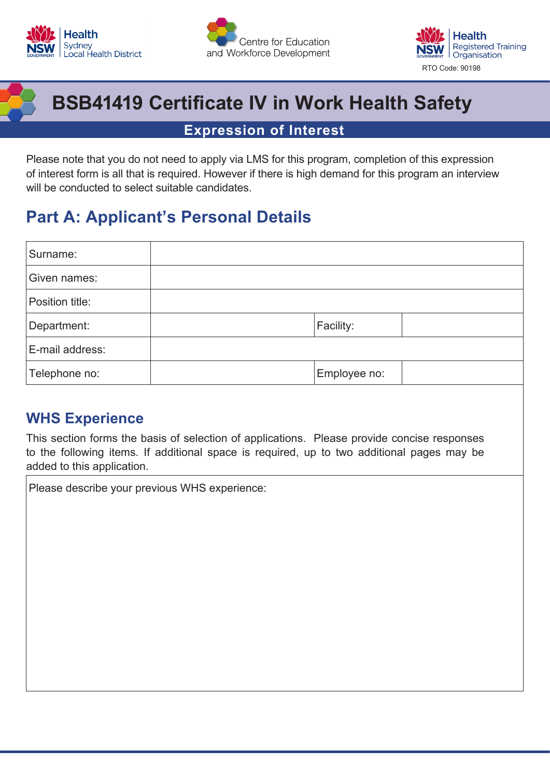





# **BSB41419 Certificate IV in Work Health Safety**

### **Expression of Interest**

Please note that you do not need to apply via LMS for this program, completion of this expression of interest form is all that is required. However if there is high demand for this program an interview will be conducted to select suitable candidates.

## **Part A: Applicant's Personal Details**

| Surname:        |              |  |
|-----------------|--------------|--|
| Given names:    |              |  |
| Position title: |              |  |
| Department:     | Facility:    |  |
| E-mail address: |              |  |
| Telephone no:   | Employee no: |  |

### **WHS Experience**

This section forms the basis of selection of applications. Please provide concise responses to the following items. If additional space is required, up to two additional pages may be added to this application.

Please describe your previous WHS experience: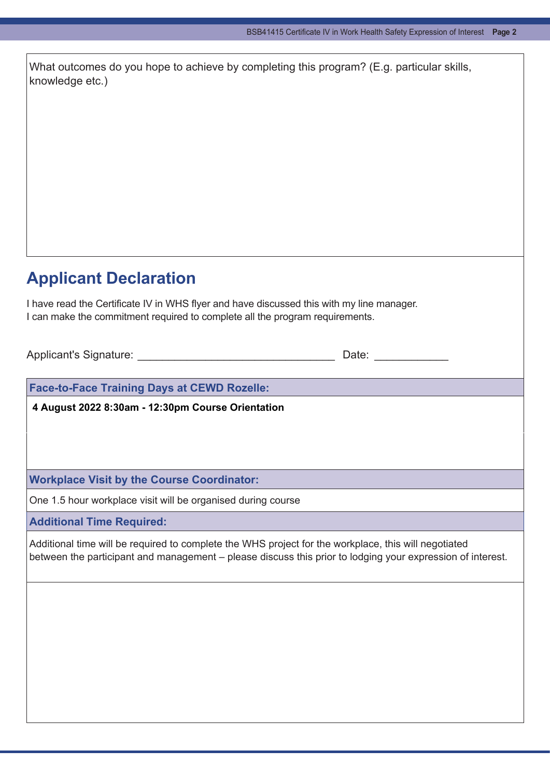|                 | What outcomes do you hope to achieve by completing this program? (E.g. particular skills, |  |  |
|-----------------|-------------------------------------------------------------------------------------------|--|--|
| knowledge etc.) |                                                                                           |  |  |

## **Applicant Declaration**

I have read the Certificate IV in WHS flyer and have discussed this with my line manager. I can make the commitment required to complete all the program requirements.

Applicant's Signature: \_\_\_\_\_\_\_\_\_\_\_\_\_\_\_\_\_\_\_\_\_\_\_\_\_\_\_\_\_\_\_\_ Date: \_\_\_\_\_\_\_\_\_\_\_\_

**Face-to-Face Training Days at CEWD Rozelle:**

**4 August 2022 8:30am - 12:30pm Course Orientation**

**Workplace Visit by the Course Coordinator:**

One 1.5 hour workplace visit will be organised during course

**Additional Time Required:**

Additional time will be required to complete the WHS project for the workplace, this will negotiated between the participant and management – please discuss this prior to lodging your expression of interest.